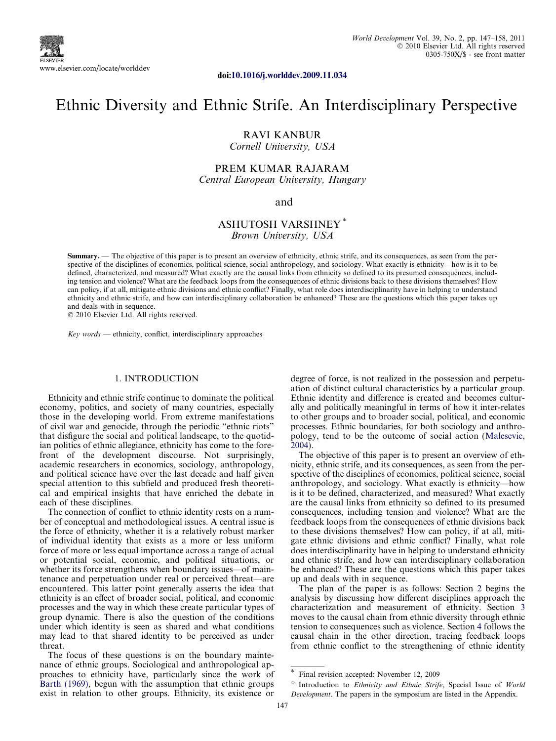

doi:[10.1016/j.worlddev.2009.11.034](http://dx.doi.org/10.1016/j.worlddev.2009.11.034)

# Ethnic Diversity and Ethnic Strife. An Interdisciplinary Perspective

# RAVI KANBUR

Cornell University, USA

# PREM KUMAR RAJARAM

Central European University, Hungary

#### and

# ASHUTOSH VARSHNEY \*

Brown University, USA

Summary. — The objective of this paper is to present an overview of ethnicity, ethnic strife, and its consequences, as seen from the perspective of the disciplines of economics, political science, social anthropology, and sociology. What exactly is ethnicity—how is it to be defined, characterized, and measured? What exactly are the causal links from ethnicity so defined to its presumed consequences, including tension and violence? What are the feedback loops from the consequences of ethnic divisions back to these divisions themselves? How can policy, if at all, mitigate ethnic divisions and ethnic conflict? Finally, what role does interdisciplinarity have in helping to understand ethnicity and ethnic strife, and how can interdisciplinary collaboration be enhanced? These are the questions which this paper takes up and deals with in sequence.

- 2010 Elsevier Ltd. All rights reserved.

Key words — ethnicity, conflict, interdisciplinary approaches

# 1. INTRODUCTION

Ethnicity and ethnic strife continue to dominate the political economy, politics, and society of many countries, especially those in the developing world. From extreme manifestations of civil war and genocide, through the periodic "ethnic riots" that disfigure the social and political landscape, to the quotidian politics of ethnic allegiance, ethnicity has come to the forefront of the development discourse. Not surprisingly, academic researchers in economics, sociology, anthropology, and political science have over the last decade and half given special attention to this subfield and produced fresh theoretical and empirical insights that have enriched the debate in each of these disciplines.

The connection of conflict to ethnic identity rests on a number of conceptual and methodological issues. A central issue is the force of ethnicity, whether it is a relatively robust marker of individual identity that exists as a more or less uniform force of more or less equal importance across a range of actual or potential social, economic, and political situations, or whether its force strengthens when boundary issues—of maintenance and perpetuation under real or perceived threat—are encountered. This latter point generally asserts the idea that ethnicity is an effect of broader social, political, and economic processes and the way in which these create particular types of group dynamic. There is also the question of the conditions under which identity is seen as shared and what conditions may lead to that shared identity to be perceived as under threat.

The focus of these questions is on the boundary maintenance of ethnic groups. Sociological and anthropological approaches to ethnicity have, particularly since the work of [Barth \(1969\),](#page-9-0) begun with the assumption that ethnic groups exist in relation to other groups. Ethnicity, its existence or

degree of force, is not realized in the possession and perpetuation of distinct cultural characteristics by a particular group. Ethnic identity and difference is created and becomes culturally and politically meaningful in terms of how it inter-relates to other groups and to broader social, political, and economic processes. Ethnic boundaries, for both sociology and anthropology, tend to be the outcome of social action ([Malesevic,](#page-10-0) [2004](#page-10-0)).

The objective of this paper is to present an overview of ethnicity, ethnic strife, and its consequences, as seen from the perspective of the disciplines of economics, political science, social anthropology, and sociology. What exactly is ethnicity—how is it to be defined, characterized, and measured? What exactly are the causal links from ethnicity so defined to its presumed consequences, including tension and violence? What are the feedback loops from the consequences of ethnic divisions back to these divisions themselves? How can policy, if at all, mitigate ethnic divisions and ethnic conflict? Finally, what role does interdisciplinarity have in helping to understand ethnicity and ethnic strife, and how can interdisciplinary collaboration be enhanced? These are the questions which this paper takes up and deals with in sequence.

The plan of the paper is as follows: Section 2 begins the analysis by discussing how different disciplines approach the characterization and measurement of ethnicity. Section 3 moves to the causal chain from ethnic diversity through ethnic tension to consequences such as violence. Section 4 follows the causal chain in the other direction, tracing feedback loops from ethnic conflict to the strengthening of ethnic identity

<sup>\*</sup> Final revision accepted: November 12, 2009

Introduction to Ethnicity and Ethnic Strife, Special Issue of World Development. The papers in the symposium are listed in the Appendix.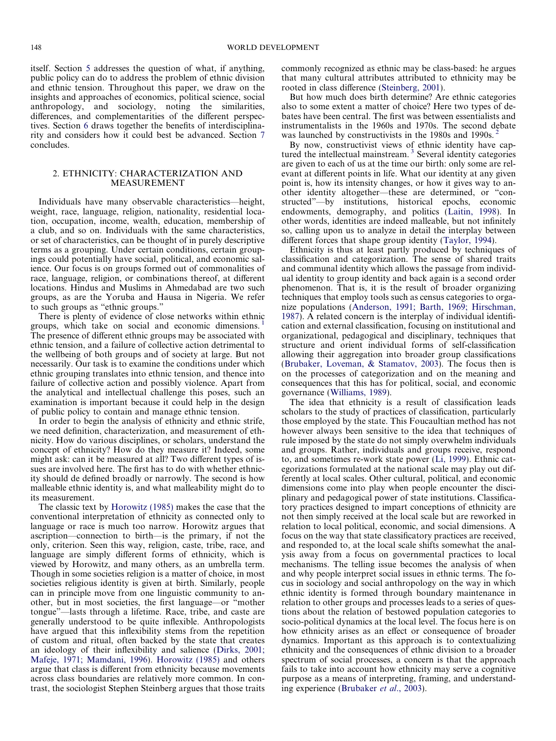itself. Section 5 addresses the question of what, if anything, public policy can do to address the problem of ethnic division and ethnic tension. Throughout this paper, we draw on the insights and approaches of economics, political science, social anthropology, and sociology, noting the similarities, differences, and complementarities of the different perspectives. Section 6 draws together the benefits of interdisciplinarity and considers how it could best be advanced. Section 7 concludes.

# 2. ETHNICITY: CHARACTERIZATION AND MEASUREMENT

Individuals have many observable characteristics—height, weight, race, language, religion, nationality, residential location, occupation, income, wealth, education, membership of a club, and so on. Individuals with the same characteristics, or set of characteristics, can be thought of in purely descriptive terms as a grouping. Under certain conditions, certain groupings could potentially have social, political, and economic salience. Our focus is on groups formed out of commonalities of race, language, religion, or combinations thereof, at different locations. Hindus and Muslims in Ahmedabad are two such groups, as are the Yoruba and Hausa in Nigeria. We refer to such groups as "ethnic groups."

There is plenty of evidence of close networks within ethnic groups, which take on social and economic dimensions. <sup>1</sup> The presence of different ethnic groups may be associated with ethnic tension, and a failure of collective action detrimental to the wellbeing of both groups and of society at large. But not necessarily. Our task is to examine the conditions under which ethnic grouping translates into ethnic tension, and thence into failure of collective action and possibly violence. Apart from the analytical and intellectual challenge this poses, such an examination is important because it could help in the design of public policy to contain and manage ethnic tension.

In order to begin the analysis of ethnicity and ethnic strife, we need definition, characterization, and measurement of ethnicity. How do various disciplines, or scholars, understand the concept of ethnicity? How do they measure it? Indeed, some might ask: can it be measured at all? Two different types of issues are involved here. The first has to do with whether ethnicity should de defined broadly or narrowly. The second is how malleable ethnic identity is, and what malleability might do to its measurement.

The classic text by [Horowitz \(1985\)](#page-10-0) makes the case that the conventional interpretation of ethnicity as connected only to language or race is much too narrow. Horowitz argues that ascription—connection to birth—is the primary, if not the only, criterion. Seen this way, religion, caste, tribe, race, and language are simply different forms of ethnicity, which is viewed by Horowitz, and many others, as an umbrella term. Though in some societies religion is a matter of choice, in most societies religious identity is given at birth. Similarly, people can in principle move from one linguistic community to another, but in most societies, the first language—or "mother tongue"—lasts through a lifetime. Race, tribe, and caste are generally understood to be quite inflexible. Anthropologists have argued that this inflexibility stems from the repetition of custom and ritual, often backed by the state that creates an ideology of their inflexibility and salience [\(Dirks, 2001;](#page-10-0) [Mafeje, 1971; Mamdani, 1996](#page-10-0)). [Horowitz \(1985\)](#page-10-0) and others argue that class is different from ethnicity because movements across class boundaries are relatively more common. In contrast, the sociologist Stephen Steinberg argues that those traits commonly recognized as ethnic may be class-based: he argues that many cultural attributes attributed to ethnicity may be rooted in class difference [\(Steinberg, 2001\)](#page-10-0).

But how much does birth determine? Are ethnic categories also to some extent a matter of choice? Here two types of debates have been central. The first was between essentialists and instrumentalists in the 1960s and 1970s. The second debate was launched by constructivists in the 1980s and 1990s.

By now, constructivist views of ethnic identity have captured the intellectual mainstream.<sup>3</sup> Several identity categories are given to each of us at the time our birth: only some are relevant at different points in life. What our identity at any given point is, how its intensity changes, or how it gives way to another identity altogether—these are determined, or "constructed"—by institutions, historical epochs, economic endowments, demography, and politics ([Laitin, 1998](#page-10-0)). In other words, identities are indeed malleable, but not infinitely so, calling upon us to analyze in detail the interplay between different forces that shape group identity [\(Taylor, 1994\)](#page-10-0).

Ethnicity is thus at least partly produced by techniques of classification and categorization. The sense of shared traits and communal identity which allows the passage from individual identity to group identity and back again is a second order phenomenon. That is, it is the result of broader organizing techniques that employ tools such as census categories to organize populations ([Anderson, 1991; Barth, 1969; Hirschman,](#page-9-0) [1987\)](#page-9-0). A related concern is the interplay of individual identification and external classification, focusing on institutional and organizational, pedagogical and disciplinary, techniques that structure and orient individual forms of self-classification allowing their aggregation into broader group classifications ([Brubaker, Loveman, & Stamatov, 2003\)](#page-9-0). The focus then is on the processes of categorization and on the meaning and consequences that this has for political, social, and economic governance ([Williams, 1989](#page-10-0)).

The idea that ethnicity is a result of classification leads scholars to the study of practices of classification, particularly those employed by the state. This Foucaultian method has not however always been sensitive to the idea that techniques of rule imposed by the state do not simply overwhelm individuals and groups. Rather, individuals and groups receive, respond to, and sometimes re-work state power [\(Li, 1999](#page-10-0)). Ethnic categorizations formulated at the national scale may play out differently at local scales. Other cultural, political, and economic dimensions come into play when people encounter the disciplinary and pedagogical power of state institutions. Classificatory practices designed to impart conceptions of ethnicity are not then simply received at the local scale but are reworked in relation to local political, economic, and social dimensions. A focus on the way that state classificatory practices are received, and responded to, at the local scale shifts somewhat the analysis away from a focus on governmental practices to local mechanisms. The telling issue becomes the analysis of when and why people interpret social issues in ethnic terms. The focus in sociology and social anthropology on the way in which ethnic identity is formed through boundary maintenance in relation to other groups and processes leads to a series of questions about the relation of bestowed population categories to socio-political dynamics at the local level. The focus here is on how ethnicity arises as an effect or consequence of broader dynamics. Important as this approach is to contextualizing ethnicity and the consequences of ethnic division to a broader spectrum of social processes, a concern is that the approach fails to take into account how ethnicity may serve a cognitive purpose as a means of interpreting, framing, and understanding experience ([Brubaker](#page-9-0) et al., 2003).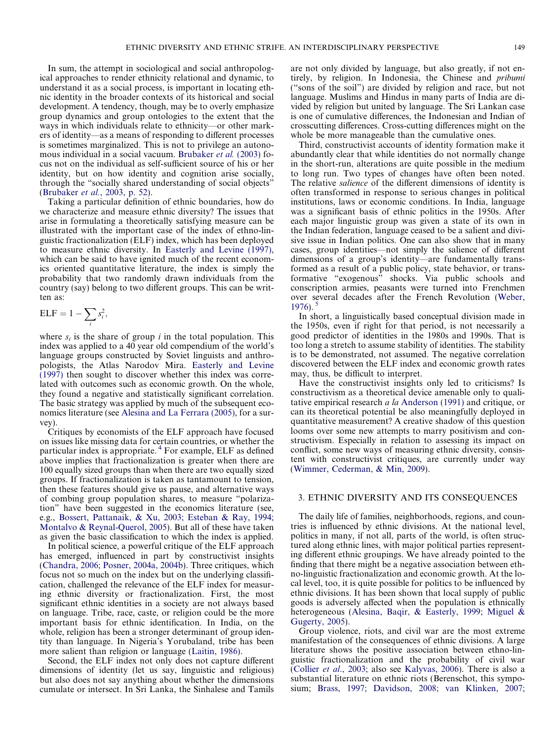In sum, the attempt in sociological and social anthropological approaches to render ethnicity relational and dynamic, to understand it as a social process, is important in locating ethnic identity in the broader contexts of its historical and social development. A tendency, though, may be to overly emphasize group dynamics and group ontologies to the extent that the ways in which individuals relate to ethnicity—or other markers of identity—as a means of responding to different processes is sometimes marginalized. This is not to privilege an autonomous individual in a social vacuum. [Brubaker](#page-9-0) et al. (2003) focus not on the individual as self-sufficient source of his or her identity, but on how identity and cognition arise socially, through the "socially shared understanding of social objects" (Brubaker et al.[, 2003, p. 52](#page-9-0)).

Taking a particular definition of ethnic boundaries, how do we characterize and measure ethnic diversity? The issues that arise in formulating a theoretically satisfying measure can be illustrated with the important case of the index of ethno-linguistic fractionalization (ELF) index, which has been deployed to measure ethnic diversity. In [Easterly and Levine \(1997\)](#page-10-0), which can be said to have ignited much of the recent economics oriented quantitative literature, the index is simply the probability that two randomly drawn individuals from the country (say) belong to two different groups. This can be written as:

$$
ELF = 1 - \sum_i s_i^2,
$$

where  $s_i$  is the share of group i in the total population. This index was applied to a 40 year old compendium of the world's language groups constructed by Soviet linguists and anthropologists, the Atlas Narodov Mira. [Easterly and Levine](#page-10-0) [\(1997\)](#page-10-0) then sought to discover whether this index was correlated with outcomes such as economic growth. On the whole, they found a negative and statistically significant correlation. The basic strategy was applied by much of the subsequent economics literature (see [Alesina and La Ferrara \(2005\),](#page-9-0) for a survey).

Critiques by economists of the ELF approach have focused on issues like missing data for certain countries, or whether the particular index is appropriate. <sup>4</sup> For example, ELF as defined above implies that fractionalization is greater when there are 100 equally sized groups than when there are two equally sized groups. If fractionalization is taken as tantamount to tension, then these features should give us pause, and alternative ways of combing group population shares, to measure "polarization" have been suggested in the economics literature (see, e.g., [Bossert, Pattanaik, & Xu, 2003; Esteban & Ray, 1994;](#page-9-0) [Montalvo & Reynal-Querol, 2005\)](#page-9-0). But all of these have taken as given the basic classification to which the index is applied.

In political science, a powerful critique of the ELF approach has emerged, influenced in part by constructivist insights ([Chandra, 2006; Posner, 2004a, 2004b\)](#page-9-0). Three critiques, which focus not so much on the index but on the underlying classification, challenged the relevance of the ELF index for measuring ethnic diversity or fractionalization. First, the most significant ethnic identities in a society are not always based on language. Tribe, race, caste, or religion could be the more important basis for ethnic identification. In India, on the whole, religion has been a stronger determinant of group identity than language. In Nigeria's Yorubaland, tribe has been more salient than religion or language [\(Laitin, 1986](#page-10-0)).

Second, the ELF index not only does not capture different dimensions of identity (let us say, linguistic and religious) but also does not say anything about whether the dimensions cumulate or intersect. In Sri Lanka, the Sinhalese and Tamils are not only divided by language, but also greatly, if not entirely, by religion. In Indonesia, the Chinese and pribumi ("sons of the soil") are divided by religion and race, but not language. Muslims and Hindus in many parts of India are divided by religion but united by language. The Sri Lankan case is one of cumulative differences, the Indonesian and Indian of crosscutting differences. Cross-cutting differences might on the whole be more manageable than the cumulative ones.

Third, constructivist accounts of identity formation make it abundantly clear that while identities do not normally change in the short-run, alterations are quite possible in the medium to long run. Two types of changes have often been noted. The relative salience of the different dimensions of identity is often transformed in response to serious changes in political institutions, laws or economic conditions. In India, language was a significant basis of ethnic politics in the 1950s. After each major linguistic group was given a state of its own in the Indian federation, language ceased to be a salient and divisive issue in Indian politics. One can also show that in many cases, group identities—not simply the salience of different dimensions of a group's identity—are fundamentally transformed as a result of a public policy, state behavior, or transformative "exogenous" shocks. Via public schools and conscription armies, peasants were turned into Frenchmen over several decades after the French Revolution [\(Weber,](#page-10-0)  $1976$ .

In short, a linguistically based conceptual division made in the 1950s, even if right for that period, is not necessarily a good predictor of identities in the 1980s and 1990s. That is too long a stretch to assume stability of identities. The stability is to be demonstrated, not assumed. The negative correlation discovered between the ELF index and economic growth rates may, thus, be difficult to interpret.

Have the constructivist insights only led to criticisms? Is constructivism as a theoretical device amenable only to qualitative empirical research a la [Anderson \(1991\)](#page-9-0) and critique, or can its theoretical potential be also meaningfully deployed in quantitative measurement? A creative shadow of this question looms over some new attempts to marry positivism and constructivism. Especially in relation to assessing its impact on conflict, some new ways of measuring ethnic diversity, consistent with constructivist critiques, are currently under way ([Wimmer, Cederman, & Min, 2009](#page-10-0)).

## 3. ETHNIC DIVERSITY AND ITS CONSEQUENCES

The daily life of families, neighborhoods, regions, and countries is influenced by ethnic divisions. At the national level, politics in many, if not all, parts of the world, is often structured along ethnic lines, with major political parties representing different ethnic groupings. We have already pointed to the finding that there might be a negative association between ethno-linguistic fractionalization and economic growth. At the local level, too, it is quite possible for politics to be influenced by ethnic divisions. It has been shown that local supply of public goods is adversely affected when the population is ethnically heterogeneous [\(Alesina, Baqir, & Easterly, 1999; Miguel &](#page-9-0) [Gugerty, 2005\)](#page-9-0).

Group violence, riots, and civil war are the most extreme manifestation of the consequences of ethnic divisions. A large literature shows the positive association between ethno-linguistic fractionalization and the probability of civil war (Collier et al[., 2003;](#page-9-0) also see [Kalyvas, 2006\)](#page-10-0). There is also a substantial literature on ethnic riots (Berenschot, this symposium; [Brass, 1997; Davidson, 2008; van Klinken, 2007;](#page-9-0)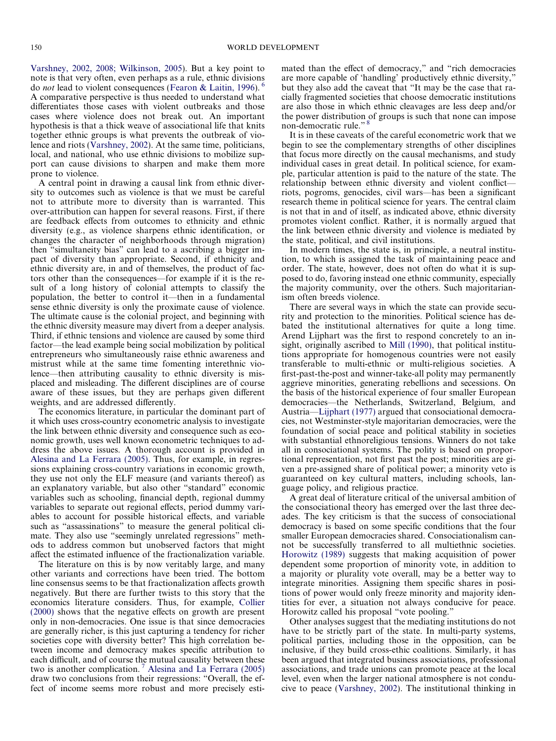[Varshney, 2002, 2008; Wilkinson, 2005](#page-9-0)). But a key point to note is that very often, even perhaps as a rule, ethnic divisions do not lead to violent consequences [\(Fearon & Laitin, 1996\)](#page-10-0). <sup>6</sup> A comparative perspective is thus needed to understand what differentiates those cases with violent outbreaks and those cases where violence does not break out. An important hypothesis is that a thick weave of associational life that knits together ethnic groups is what prevents the outbreak of violence and riots ([Varshney, 2002\)](#page-10-0). At the same time, politicians, local, and national, who use ethnic divisions to mobilize support can cause divisions to sharpen and make them more prone to violence.

A central point in drawing a causal link from ethnic diversity to outcomes such as violence is that we must be careful not to attribute more to diversity than is warranted. This over-attribution can happen for several reasons. First, if there are feedback effects from outcomes to ethnicity and ethnic diversity (e.g., as violence sharpens ethnic identification, or changes the character of neighborhoods through migration) then "simultaneity bias" can lead to a ascribing a bigger impact of diversity than appropriate. Second, if ethnicity and ethnic diversity are, in and of themselves, the product of factors other than the consequences—for example if it is the result of a long history of colonial attempts to classify the population, the better to control it—then in a fundamental sense ethnic diversity is only the proximate cause of violence. The ultimate cause is the colonial project, and beginning with the ethnic diversity measure may divert from a deeper analysis. Third, if ethnic tensions and violence are caused by some third factor—the lead example being social mobilization by political entrepreneurs who simultaneously raise ethnic awareness and mistrust while at the same time fomenting interethnic violence—then attributing causality to ethnic diversity is misplaced and misleading. The different disciplines are of course aware of these issues, but they are perhaps given different weights, and are addressed differently.

The economics literature, in particular the dominant part of it which uses cross-country econometric analysis to investigate the link between ethnic diversity and consequence such as economic growth, uses well known econometric techniques to address the above issues. A thorough account is provided in [Alesina and La Ferrara \(2005\).](#page-9-0) Thus, for example, in regressions explaining cross-country variations in economic growth, they use not only the ELF measure (and variants thereof) as an explanatory variable, but also other "standard" economic variables such as schooling, financial depth, regional dummy variables to separate out regional effects, period dummy variables to account for possible historical effects, and variable such as "assassinations" to measure the general political climate. They also use "seemingly unrelated regressions" methods to address common but unobserved factors that might affect the estimated influence of the fractionalization variable.

The literature on this is by now veritably large, and many other variants and corrections have been tried. The bottom line consensus seems to be that fractionalization affects growth negatively. But there are further twists to this story that the economics literature considers. Thus, for example, [Collier](#page-9-0) [\(2000\)](#page-9-0) shows that the negative effects on growth are present only in non-democracies. One issue is that since democracies are generally richer, is this just capturing a tendency for richer societies cope with diversity better? This high correlation between income and democracy makes specific attribution to each difficult, and of course the mutual causality between these two is another complication.  $\overline{'}$  [Alesina and La Ferrara \(2005\)](#page-9-0) draw two conclusions from their regressions: "Overall, the effect of income seems more robust and more precisely estimated than the effect of democracy," and "rich democracies are more capable of 'handling' productively ethnic diversity," but they also add the caveat that "It may be the case that racially fragmented societies that choose democratic institutions are also those in which ethnic cleavages are less deep and/or the power distribution of groups is such that none can impose non-democratic rule." <sup>8</sup>

It is in these caveats of the careful econometric work that we begin to see the complementary strengths of other disciplines that focus more directly on the causal mechanisms, and study individual cases in great detail. In political science, for example, particular attention is paid to the nature of the state. The relationship between ethnic diversity and violent conflict riots, pogroms, genocides, civil wars—has been a significant research theme in political science for years. The central claim is not that in and of itself, as indicated above, ethnic diversity promotes violent conflict. Rather, it is normally argued that the link between ethnic diversity and violence is mediated by the state, political, and civil institutions.

In modern times, the state is, in principle, a neutral institution, to which is assigned the task of maintaining peace and order. The state, however, does not often do what it is supposed to do, favoring instead one ethnic community, especially the majority community, over the others. Such majoritarianism often breeds violence.

There are several ways in which the state can provide security and protection to the minorities. Political science has debated the institutional alternatives for quite a long time. Arend Lijphart was the first to respond concretely to an insight, originally ascribed to [Mill \(1990\),](#page-10-0) that political institutions appropriate for homogenous countries were not easily transferable to multi-ethnic or multi-religious societies. A first-past-the-post and winner-take-all polity may permanently aggrieve minorities, generating rebellions and secessions. On the basis of the historical experience of four smaller European democracies—the Netherlands, Switzerland, Belgium, and Austria[—Lijphart \(1977\)](#page-10-0) argued that consociational democracies, not Westminster-style majoritarian democracies, were the foundation of social peace and political stability in societies with substantial ethnoreligious tensions. Winners do not take all in consociational systems. The polity is based on proportional representation, not first past the post; minorities are given a pre-assigned share of political power; a minority veto is guaranteed on key cultural matters, including schools, language policy, and religious practice.

A great deal of literature critical of the universal ambition of the consociational theory has emerged over the last three decades. The key criticism is that the success of consociational democracy is based on some specific conditions that the four smaller European democracies shared. Consociationalism cannot be successfully transferred to all multiethnic societies. [Horowitz \(1989\)](#page-10-0) suggests that making acquisition of power dependent some proportion of minority vote, in addition to a majority or plurality vote overall, may be a better way to integrate minorities. Assigning them specific shares in positions of power would only freeze minority and majority identities for ever, a situation not always conducive for peace. Horowitz called his proposal "vote pooling."

Other analyses suggest that the mediating institutions do not have to be strictly part of the state. In multi-party systems, political parties, including those in the opposition, can be inclusive, if they build cross-ethic coalitions. Similarly, it has been argued that integrated business associations, professional associations, and trade unions can promote peace at the local level, even when the larger national atmosphere is not conducive to peace [\(Varshney, 2002\)](#page-10-0). The institutional thinking in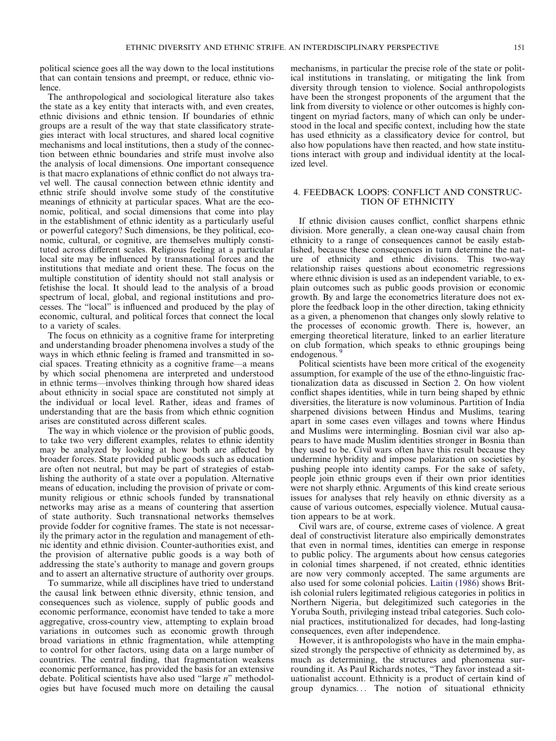political science goes all the way down to the local institutions that can contain tensions and preempt, or reduce, ethnic violence.

The anthropological and sociological literature also takes the state as a key entity that interacts with, and even creates, ethnic divisions and ethnic tension. If boundaries of ethnic groups are a result of the way that state classificatory strategies interact with local structures, and shared local cognitive mechanisms and local institutions, then a study of the connection between ethnic boundaries and strife must involve also the analysis of local dimensions. One important consequence is that macro explanations of ethnic conflict do not always travel well. The causal connection between ethnic identity and ethnic strife should involve some study of the constitutive meanings of ethnicity at particular spaces. What are the economic, political, and social dimensions that come into play in the establishment of ethnic identity as a particularly useful or powerful category? Such dimensions, be they political, economic, cultural, or cognitive, are themselves multiply constituted across different scales. Religious feeling at a particular local site may be influenced by transnational forces and the institutions that mediate and orient these. The focus on the multiple constitution of identity should not stall analysis or fetishise the local. It should lead to the analysis of a broad spectrum of local, global, and regional institutions and processes. The "local" is influenced and produced by the play of economic, cultural, and political forces that connect the local to a variety of scales.

The focus on ethnicity as a cognitive frame for interpreting and understanding broader phenomena involves a study of the ways in which ethnic feeling is framed and transmitted in social spaces. Treating ethnicity as a cognitive frame—a means by which social phenomena are interpreted and understood in ethnic terms—involves thinking through how shared ideas about ethnicity in social space are constituted not simply at the individual or local level. Rather, ideas and frames of understanding that are the basis from which ethnic cognition arises are constituted across different scales.

The way in which violence or the provision of public goods, to take two very different examples, relates to ethnic identity may be analyzed by looking at how both are affected by broader forces. State provided public goods such as education are often not neutral, but may be part of strategies of establishing the authority of a state over a population. Alternative means of education, including the provision of private or community religious or ethnic schools funded by transnational networks may arise as a means of countering that assertion of state authority. Such transnational networks themselves provide fodder for cognitive frames. The state is not necessarily the primary actor in the regulation and management of ethnic identity and ethnic division. Counter-authorities exist, and the provision of alternative public goods is a way both of addressing the state's authority to manage and govern groups and to assert an alternative structure of authority over groups.

To summarize, while all disciplines have tried to understand the causal link between ethnic diversity, ethnic tension, and consequences such as violence, supply of public goods and economic performance, economist have tended to take a more aggregative, cross-country view, attempting to explain broad variations in outcomes such as economic growth through broad variations in ethnic fragmentation, while attempting to control for other factors, using data on a large number of countries. The central finding, that fragmentation weakens economic performance, has provided the basis for an extensive debate. Political scientists have also used "large n" methodologies but have focused much more on detailing the causal mechanisms, in particular the precise role of the state or political institutions in translating, or mitigating the link from diversity through tension to violence. Social anthropologists have been the strongest proponents of the argument that the link from diversity to violence or other outcomes is highly contingent on myriad factors, many of which can only be understood in the local and specific context, including how the state has used ethnicity as a classificatory device for control, but also how populations have then reacted, and how state institutions interact with group and individual identity at the localized level.

#### 4. FEEDBACK LOOPS: CONFLICT AND CONSTRUC-TION OF ETHNICITY

If ethnic division causes conflict, conflict sharpens ethnic division. More generally, a clean one-way causal chain from ethnicity to a range of consequences cannot be easily established, because these consequences in turn determine the nature of ethnicity and ethnic divisions. This two-way relationship raises questions about econometric regressions where ethnic division is used as an independent variable, to explain outcomes such as public goods provision or economic growth. By and large the econometrics literature does not explore the feedback loop in the other direction, taking ethnicity as a given, a phenomenon that changes only slowly relative to the processes of economic growth. There is, however, an emerging theoretical literature, linked to an earlier literature on club formation, which speaks to ethnic groupings being endogenous.<sup>5</sup>

Political scientists have been more critical of the exogeneity assumption, for example of the use of the ethno-linguistic fractionalization data as discussed in Section 2. On how violent conflict shapes identities, while in turn being shaped by ethnic diversities, the literature is now voluminous. Partition of India sharpened divisions between Hindus and Muslims, tearing apart in some cases even villages and towns where Hindus and Muslims were intermingling. Bosnian civil war also appears to have made Muslim identities stronger in Bosnia than they used to be. Civil wars often have this result because they undermine hybridity and impose polarization on societies by pushing people into identity camps. For the sake of safety, people join ethnic groups even if their own prior identities were not sharply ethnic. Arguments of this kind create serious issues for analyses that rely heavily on ethnic diversity as a cause of various outcomes, especially violence. Mutual causation appears to be at work.

Civil wars are, of course, extreme cases of violence. A great deal of constructivist literature also empirically demonstrates that even in normal times, identities can emerge in response to public policy. The arguments about how census categories in colonial times sharpened, if not created, ethnic identities are now very commonly accepted. The same arguments are also used for some colonial policies. [Laitin \(1986\)](#page-10-0) shows British colonial rulers legitimated religious categories in politics in Northern Nigeria, but delegitimized such categories in the Yoruba South, privileging instead tribal categories. Such colonial practices, institutionalized for decades, had long-lasting consequences, even after independence.

However, it is anthropologists who have in the main emphasized strongly the perspective of ethnicity as determined by, as much as determining, the structures and phenomena surrounding it. As Paul Richards notes, "They favor instead a situationalist account. Ethnicity is a product of certain kind of group dynamics... The notion of situational ethnicity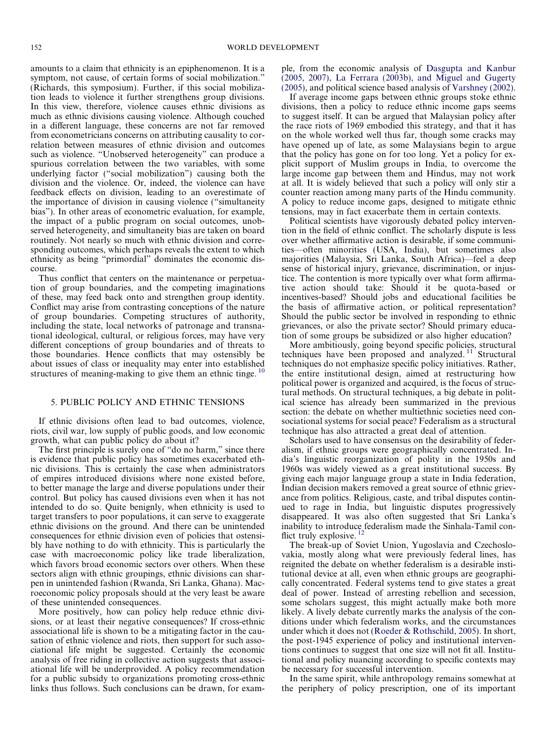amounts to a claim that ethnicity is an epiphenomenon. It is a symptom, not cause, of certain forms of social mobilization." (Richards, this symposium). Further, if this social mobilization leads to violence it further strengthens group divisions. In this view, therefore, violence causes ethnic divisions as much as ethnic divisions causing violence. Although couched in a different language, these concerns are not far removed from econometricians concerns on attributing causality to correlation between measures of ethnic division and outcomes such as violence. "Unobserved heterogeneity" can produce a spurious correlation between the two variables, with some underlying factor ("social mobilization") causing both the division and the violence. Or, indeed, the violence can have feedback effects on division, leading to an overestimate of the importance of division in causing violence ("simultaneity bias"). In other areas of econometric evaluation, for example, the impact of a public program on social outcomes, unobserved heterogeneity, and simultaneity bias are taken on board routinely. Not nearly so much with ethnic division and corresponding outcomes, which perhaps reveals the extent to which ethnicity as being "primordial" dominates the economic discourse.

Thus conflict that centers on the maintenance or perpetuation of group boundaries, and the competing imaginations of these, may feed back onto and strengthen group identity. Conflict may arise from contrasting conceptions of the nature of group boundaries. Competing structures of authority, including the state, local networks of patronage and transnational ideological, cultural, or religious forces, may have very different conceptions of group boundaries and of threats to those boundaries. Hence conflicts that may ostensibly be about issues of class or inequality may enter into established structures of meaning-making to give them an ethnic tinge.<sup>10</sup>

#### 5. PUBLIC POLICY AND ETHNIC TENSIONS

If ethnic divisions often lead to bad outcomes, violence, riots, civil war, low supply of public goods, and low economic growth, what can public policy do about it?

The first principle is surely one of "do no harm," since there is evidence that public policy has sometimes exacerbated ethnic divisions. This is certainly the case when administrators of empires introduced divisions where none existed before, to better manage the large and diverse populations under their control. But policy has caused divisions even when it has not intended to do so. Quite benignly, when ethnicity is used to target transfers to poor populations, it can serve to exaggerate ethnic divisions on the ground. And there can be unintended consequences for ethnic division even of policies that ostensibly have nothing to do with ethnicity. This is particularly the case with macroeconomic policy like trade liberalization, which favors broad economic sectors over others. When these sectors align with ethnic groupings, ethnic divisions can sharpen in unintended fashion (Rwanda, Sri Lanka, Ghana). Macroeconomic policy proposals should at the very least be aware of these unintended consequences.

More positively, how can policy help reduce ethnic divisions, or at least their negative consequences? If cross-ethnic associational life is shown to be a mitigating factor in the causation of ethnic violence and riots, then support for such associational life might be suggested. Certainly the economic analysis of free riding in collective action suggests that associational life will be underprovided. A policy recommendation for a public subsidy to organizations promoting cross-ethnic links thus follows. Such conclusions can be drawn, for example, from the economic analysis of [Dasgupta and Kanbur](#page-9-0) [\(2005, 2007\), La Ferrara \(2003b\), and Miguel and Gugerty](#page-9-0) [\(2005\),](#page-9-0) and political science based analysis of [Varshney \(2002\)](#page-10-0).

If average income gaps between ethnic groups stoke ethnic divisions, then a policy to reduce ethnic income gaps seems to suggest itself. It can be argued that Malaysian policy after the race riots of 1969 embodied this strategy, and that it has on the whole worked well thus far, though some cracks may have opened up of late, as some Malaysians begin to argue that the policy has gone on for too long. Yet a policy for explicit support of Muslim groups in India, to overcome the large income gap between them and Hindus, may not work at all. It is widely believed that such a policy will only stir a counter reaction among many parts of the Hindu community. A policy to reduce income gaps, designed to mitigate ethnic tensions, may in fact exacerbate them in certain contexts.

Political scientists have vigorously debated policy intervention in the field of ethnic conflict. The scholarly dispute is less over whether affirmative action is desirable, if some communities—often minorities (USA, India), but sometimes also majorities (Malaysia, Sri Lanka, South Africa)—feel a deep sense of historical injury, grievance, discrimination, or injustice. The contention is more typically over what form affirmative action should take: Should it be quota-based or incentives-based? Should jobs and educational facilities be the basis of affirmative action, or political representation? Should the public sector be involved in responding to ethnic grievances, or also the private sector? Should primary education of some groups be subsidized or also higher education?

More ambitiously, going beyond specific policies, structural techniques have been proposed and analyzed.<sup>11</sup> Structural techniques do not emphasize specific policy initiatives. Rather, the entire institutional design, aimed at restructuring how political power is organized and acquired, is the focus of structural methods. On structural techniques, a big debate in political science has already been summarized in the previous section: the debate on whether multiethnic societies need consociational systems for social peace? Federalism as a structural technique has also attracted a great deal of attention.

Scholars used to have consensus on the desirability of federalism, if ethnic groups were geographically concentrated. India's linguistic reorganization of polity in the 1950s and 1960s was widely viewed as a great institutional success. By giving each major language group a state in India federation, Indian decision makers removed a great source of ethnic grievance from politics. Religious, caste, and tribal disputes continued to rage in India, but linguistic disputes progressively disappeared. It was also often suggested that Sri Lanka's inability to introduce federalism made the Sinhala-Tamil conflict truly explosive.<sup>12</sup>

The break-up of Soviet Union, Yugoslavia and Czechoslovakia, mostly along what were previously federal lines, has reignited the debate on whether federalism is a desirable institutional device at all, even when ethnic groups are geographically concentrated. Federal systems tend to give states a great deal of power. Instead of arresting rebellion and secession, some scholars suggest, this might actually make both more likely. A lively debate currently marks the analysis of the conditions under which federalism works, and the circumstances under which it does not ([Roeder & Rothschild, 2005](#page-10-0)). In short, the post-1945 experience of policy and institutional interventions continues to suggest that one size will not fit all. Institutional and policy nuancing according to specific contexts may be necessary for successful intervention.

In the same spirit, while anthropology remains somewhat at the periphery of policy prescription, one of its important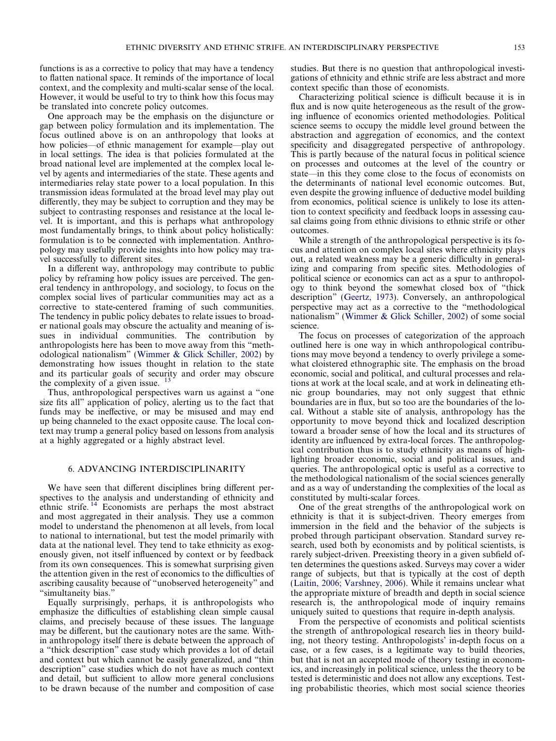functions is as a corrective to policy that may have a tendency to flatten national space. It reminds of the importance of local context, and the complexity and multi-scalar sense of the local. However, it would be useful to try to think how this focus may be translated into concrete policy outcomes.

One approach may be the emphasis on the disjuncture or gap between policy formulation and its implementation. The focus outlined above is on an anthropology that looks at how policies—of ethnic management for example—play out in local settings. The idea is that policies formulated at the broad national level are implemented at the complex local level by agents and intermediaries of the state. These agents and intermediaries relay state power to a local population. In this transmission ideas formulated at the broad level may play out differently, they may be subject to corruption and they may be subject to contrasting responses and resistance at the local level. It is important, and this is perhaps what anthropology most fundamentally brings, to think about policy holistically: formulation is to be connected with implementation. Anthropology may usefully provide insights into how policy may travel successfully to different sites.

In a different way, anthropology may contribute to public policy by reframing how policy issues are perceived. The general tendency in anthropology, and sociology, to focus on the complex social lives of particular communities may act as a corrective to state-centered framing of such communities. The tendency in public policy debates to relate issues to broader national goals may obscure the actuality and meaning of issues in individual communities. The contribution by anthropologists here has been to move away from this "methodological nationalism" ([Wimmer & Glick Schiller, 2002](#page-10-0)) by demonstrating how issues thought in relation to the state and its particular goals of security and order may obscure the complexity of a given issue.  $\frac{13}{2}$ 

Thus, anthropological perspectives warn us against a "one size fits all" application of policy, alerting us to the fact that funds may be ineffective, or may be misused and may end up being channeled to the exact opposite cause. The local context may trump a general policy based on lessons from analysis at a highly aggregated or a highly abstract level.

# 6. ADVANCING INTERDISCIPLINARITY

We have seen that different disciplines bring different perspectives to the analysis and understanding of ethnicity and ethnic strife. <sup>14</sup> Economists are perhaps the most abstract and most aggregated in their analysis. They use a common model to understand the phenomenon at all levels, from local to national to international, but test the model primarily with data at the national level. They tend to take ethnicity as exogenously given, not itself influenced by context or by feedback from its own consequences. This is somewhat surprising given the attention given in the rest of economics to the difficulties of ascribing causality because of "unobserved heterogeneity" and "simultaneity bias."

Equally surprisingly, perhaps, it is anthropologists who emphasize the difficulties of establishing clean simple causal claims, and precisely because of these issues. The language may be different, but the cautionary notes are the same. Within anthropology itself there is debate between the approach of a "thick description" case study which provides a lot of detail and context but which cannot be easily generalized, and "thin description" case studies which do not have as much context and detail, but sufficient to allow more general conclusions to be drawn because of the number and composition of case studies. But there is no question that anthropological investigations of ethnicity and ethnic strife are less abstract and more context specific than those of economists.

Characterizing political science is difficult because it is in flux and is now quite heterogeneous as the result of the growing influence of economics oriented methodologies. Political science seems to occupy the middle level ground between the abstraction and aggregation of economics, and the context specificity and disaggregated perspective of anthropology. This is partly because of the natural focus in political science on processes and outcomes at the level of the country or state—in this they come close to the focus of economists on the determinants of national level economic outcomes. But, even despite the growing influence of deductive model building from economics, political science is unlikely to lose its attention to context specificity and feedback loops in assessing causal claims going from ethnic divisions to ethnic strife or other outcomes.

While a strength of the anthropological perspective is its focus and attention on complex local sites where ethnicity plays out, a related weakness may be a generic difficulty in generalizing and comparing from specific sites. Methodologies of political science or economics can act as a spur to anthropology to think beyond the somewhat closed box of "thick description" ([Geertz, 1973\)](#page-10-0). Conversely, an anthropological perspective may act as a corrective to the "methodological nationalism" ([Wimmer & Glick Schiller, 2002](#page-10-0)) of some social science.

The focus on processes of categorization of the approach outlined here is one way in which anthropological contributions may move beyond a tendency to overly privilege a somewhat cloistered ethnographic site. The emphasis on the broad economic, social and political, and cultural processes and relations at work at the local scale, and at work in delineating ethnic group boundaries, may not only suggest that ethnic boundaries are in flux, but so too are the boundaries of the local. Without a stable site of analysis, anthropology has the opportunity to move beyond thick and localized description toward a broader sense of how the local and its structures of identity are influenced by extra-local forces. The anthropological contribution thus is to study ethnicity as means of highlighting broader economic, social and political issues, and queries. The anthropological optic is useful as a corrective to the methodological nationalism of the social sciences generally and as a way of understanding the complexities of the local as constituted by multi-scalar forces.

One of the great strengths of the anthropological work on ethnicity is that it is subject-driven. Theory emerges from immersion in the field and the behavior of the subjects is probed through participant observation. Standard survey research, used both by economists and by political scientists, is rarely subject-driven. Preexisting theory in a given subfield often determines the questions asked. Surveys may cover a wider range of subjects, but that is typically at the cost of depth ([Laitin, 2006; Varshney, 2006\)](#page-10-0). While it remains unclear what the appropriate mixture of breadth and depth in social science research is, the anthropological mode of inquiry remains uniquely suited to questions that require in-depth analysis.

From the perspective of economists and political scientists the strength of anthropological research lies in theory building, not theory testing. Anthropologists' in-depth focus on a case, or a few cases, is a legitimate way to build theories, but that is not an accepted mode of theory testing in economics, and increasingly in political science, unless the theory to be tested is deterministic and does not allow any exceptions. Testing probabilistic theories, which most social science theories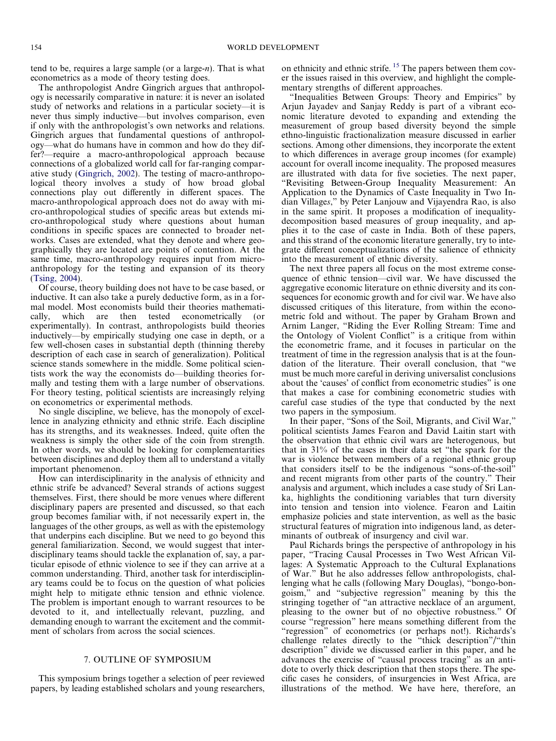tend to be, requires a large sample (or a large- $n$ ). That is what econometrics as a mode of theory testing does.

The anthropologist Andre Gingrich argues that anthropology is necessarily comparative in nature: it is never an isolated study of networks and relations in a particular society—it is never thus simply inductive—but involves comparison, even if only with the anthropologist's own networks and relations. Gingrich argues that fundamental questions of anthropology—what do humans have in common and how do they differ?—require a macro-anthropological approach because connections of a globalized world call for far-ranging comparative study ([Gingrich, 2002\)](#page-10-0). The testing of macro-anthropological theory involves a study of how broad global connections play out differently in different spaces. The macro-anthropological approach does not do away with micro-anthropological studies of specific areas but extends micro-anthropological study where questions about human conditions in specific spaces are connected to broader networks. Cases are extended, what they denote and where geographically they are located are points of contention. At the same time, macro-anthropology requires input from microanthropology for the testing and expansion of its theory ([Tsing, 2004\)](#page-10-0).

Of course, theory building does not have to be case based, or inductive. It can also take a purely deductive form, as in a formal model. Most economists build their theories mathematically, which are then tested econometrically (or experimentally). In contrast, anthropologists build theories inductively—by empirically studying one case in depth, or a few well-chosen cases in substantial depth (thinning thereby description of each case in search of generalization). Political science stands somewhere in the middle. Some political scientists work the way the economists do—building theories formally and testing them with a large number of observations. For theory testing, political scientists are increasingly relying on econometrics or experimental methods.

No single discipline, we believe, has the monopoly of excellence in analyzing ethnicity and ethnic strife. Each discipline has its strengths, and its weaknesses. Indeed, quite often the weakness is simply the other side of the coin from strength. In other words, we should be looking for complementarities between disciplines and deploy them all to understand a vitally important phenomenon.

How can interdisciplinarity in the analysis of ethnicity and ethnic strife be advanced? Several strands of actions suggest themselves. First, there should be more venues where different disciplinary papers are presented and discussed, so that each group becomes familiar with, if not necessarily expert in, the languages of the other groups, as well as with the epistemology that underpins each discipline. But we need to go beyond this general familiarization. Second, we would suggest that interdisciplinary teams should tackle the explanation of, say, a particular episode of ethnic violence to see if they can arrive at a common understanding. Third, another task for interdisciplinary teams could be to focus on the question of what policies might help to mitigate ethnic tension and ethnic violence. The problem is important enough to warrant resources to be devoted to it, and intellectually relevant, puzzling, and demanding enough to warrant the excitement and the commitment of scholars from across the social sciences.

#### 7. OUTLINE OF SYMPOSIUM

This symposium brings together a selection of peer reviewed papers, by leading established scholars and young researchers, on ethnicity and ethnic strife. <sup>15</sup> The papers between them cover the issues raised in this overview, and highlight the complementary strengths of different approaches.

"Inequalities Between Groups: Theory and Empirics" by Arjun Jayadev and Sanjay Reddy is part of a vibrant economic literature devoted to expanding and extending the measurement of group based diversity beyond the simple ethno-linguistic fractionalization measure discussed in earlier sections. Among other dimensions, they incorporate the extent to which differences in average group incomes (for example) account for overall income inequality. The proposed measures are illustrated with data for five societies. The next paper, "Revisiting Between-Group Inequality Measurement: An Application to the Dynamics of Caste Inequality in Two Indian Villages," by Peter Lanjouw and Vijayendra Rao, is also in the same spirit. It proposes a modification of inequalitydecomposition based measures of group inequality, and applies it to the case of caste in India. Both of these papers, and this strand of the economic literature generally, try to integrate different conceptualizations of the salience of ethnicity into the measurement of ethnic diversity.

The next three papers all focus on the most extreme consequence of ethnic tension—civil war. We have discussed the aggregative economic literature on ethnic diversity and its consequences for economic growth and for civil war. We have also discussed critiques of this literature, from within the econometric fold and without. The paper by Graham Brown and Arnim Langer, "Riding the Ever Rolling Stream: Time and the Ontology of Violent Conflict" is a critique from within the econometric frame, and it focuses in particular on the treatment of time in the regression analysis that is at the foundation of the literature. Their overall conclusion, that "we must be much more careful in deriving universalist conclusions about the 'causes' of conflict from econometric studies" is one that makes a case for combining econometric studies with careful case studies of the type that conducted by the next two papers in the symposium.

In their paper, "Sons of the Soil, Migrants, and Civil War," political scientists James Fearon and David Laitin start with the observation that ethnic civil wars are heterogenous, but that in 31% of the cases in their data set "the spark for the war is violence between members of a regional ethnic group that considers itself to be the indigenous "sons-of-the-soil" and recent migrants from other parts of the country." Their analysis and argument, which includes a case study of Sri Lanka, highlights the conditioning variables that turn diversity into tension and tension into violence. Fearon and Laitin emphasize policies and state intervention, as well as the basic structural features of migration into indigenous land, as determinants of outbreak of insurgency and civil war.

Paul Richards brings the perspective of anthropology in his paper, "Tracing Causal Processes in Two West African Villages: A Systematic Approach to the Cultural Explanations of War." But he also addresses fellow anthropologists, challenging what he calls (following Mary Douglas), "bongo-bongoism," and "subjective regression" meaning by this the stringing together of "an attractive necklace of an argument, pleasing to the owner but of no objective robustness." Of course "regression" here means something different from the "regression" of econometrics (or perhaps not!). Richards's challenge relates directly to the "thick description"/"thin description" divide we discussed earlier in this paper, and he advances the exercise of "causal process tracing" as an antidote to overly thick description that then stops there. The specific cases he considers, of insurgencies in West Africa, are illustrations of the method. We have here, therefore, an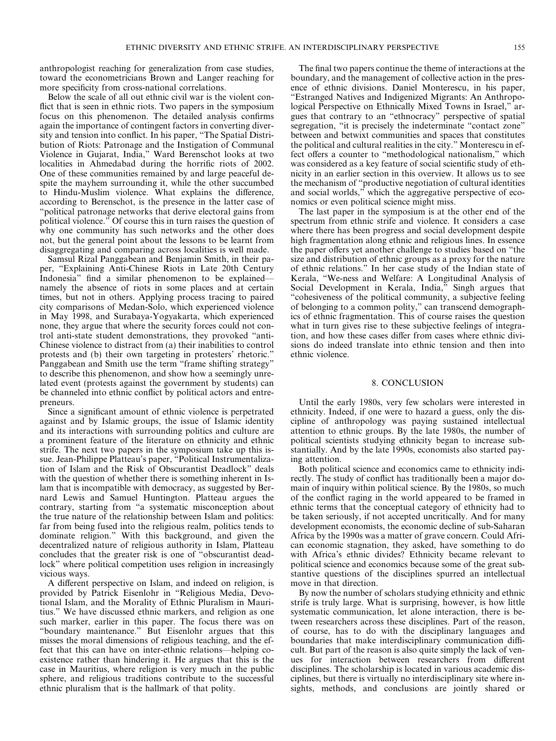anthropologist reaching for generalization from case studies, toward the econometricians Brown and Langer reaching for more specificity from cross-national correlations.

Below the scale of all out ethnic civil war is the violent conflict that is seen in ethnic riots. Two papers in the symposium focus on this phenomenon. The detailed analysis confirms again the importance of contingent factors in converting diversity and tension into conflict. In his paper, "The Spatial Distribution of Riots: Patronage and the Instigation of Communal Violence in Gujarat, India," Ward Berenschot looks at two localities in Ahmedabad during the horrific riots of 2002. One of these communities remained by and large peaceful despite the mayhem surrounding it, while the other succumbed to Hindu-Muslim violence. What explains the difference, according to Berenschot, is the presence in the latter case of "political patronage networks that derive electoral gains from political violence." Of course this in turn raises the question of why one community has such networks and the other does not, but the general point about the lessons to be learnt from disaggregating and comparing across localities is well made.

Samsul Rizal Panggabean and Benjamin Smith, in their paper, "Explaining Anti-Chinese Riots in Late 20th Century Indonesia" find a similar phenomenon to be explained namely the absence of riots in some places and at certain times, but not in others. Applying process tracing to paired city comparisons of Medan-Solo, which experienced violence in May 1998, and Surabaya-Yogyakarta, which experienced none, they argue that where the security forces could not control anti-state student demonstrations, they provoked "anti-Chinese violence to distract from (a) their inabilities to control protests and (b) their own targeting in protesters' rhetoric." Panggabean and Smith use the term "frame shifting strategy" to describe this phenomenon, and show how a seemingly unrelated event (protests against the government by students) can be channeled into ethnic conflict by political actors and entrepreneurs.

Since a significant amount of ethnic violence is perpetrated against and by Islamic groups, the issue of Islamic identity and its interactions with surrounding politics and culture are a prominent feature of the literature on ethnicity and ethnic strife. The next two papers in the symposium take up this issue. Jean-Philippe Platteau's paper, "Political Instrumentalization of Islam and the Risk of Obscurantist Deadlock" deals with the question of whether there is something inherent in Islam that is incompatible with democracy, as suggested by Bernard Lewis and Samuel Huntington. Platteau argues the contrary, starting from "a systematic misconception about the true nature of the relationship between Islam and politics: far from being fused into the religious realm, politics tends to dominate religion." With this background, and given the decentralized nature of religious authority in Islam, Platteau concludes that the greater risk is one of "obscurantist deadlock" where political competition uses religion in increasingly vicious ways.

A different perspective on Islam, and indeed on religion, is provided by Patrick Eisenlohr in "Religious Media, Devotional Islam, and the Morality of Ethnic Pluralism in Mauritius." We have discussed ethnic markers, and religion as one such marker, earlier in this paper. The focus there was on "boundary maintenance." But Eisenlohr argues that this misses the moral dimensions of religious teaching, and the effect that this can have on inter-ethnic relations—helping coexistence rather than hindering it. He argues that this is the case in Mauritius, where religion is very much in the public sphere, and religious traditions contribute to the successful ethnic pluralism that is the hallmark of that polity.

The final two papers continue the theme of interactions at the boundary, and the management of collective action in the presence of ethnic divisions. Daniel Monterescu, in his paper, "Estranged Natives and Indigenized Migrants: An Anthropological Perspective on Ethnically Mixed Towns in Israel," argues that contrary to an "ethnocracy" perspective of spatial segregation, "it is precisely the indeterminate "contact zone" between and betwixt communities and spaces that constitutes the political and cultural realities in the city." Monterescu in effect offers a counter to "methodological nationalism," which was considered as a key feature of social scientific study of ethnicity in an earlier section in this overview. It allows us to see the mechanism of "productive negotiation of cultural identities and social worlds," which the aggregative perspective of economics or even political science might miss.

The last paper in the symposium is at the other end of the spectrum from ethnic strife and violence. It considers a case where there has been progress and social development despite high fragmentation along ethnic and religious lines. In essence the paper offers yet another challenge to studies based on "the size and distribution of ethnic groups as a proxy for the nature of ethnic relations." In her case study of the Indian state of Kerala, "We-ness and Welfare: A Longitudinal Analysis of Social Development in Kerala, India," Singh argues that "cohesiveness of the political community, a subjective feeling of belonging to a common polity," can transcend demographics of ethnic fragmentation. This of course raises the question what in turn gives rise to these subjective feelings of integration, and how these cases differ from cases where ethnic divisions do indeed translate into ethnic tension and then into ethnic violence.

#### 8. CONCLUSION

Until the early 1980s, very few scholars were interested in ethnicity. Indeed, if one were to hazard a guess, only the discipline of anthropology was paying sustained intellectual attention to ethnic groups. By the late 1980s, the number of political scientists studying ethnicity began to increase substantially. And by the late 1990s, economists also started paying attention.

Both political science and economics came to ethnicity indirectly. The study of conflict has traditionally been a major domain of inquiry within political science. By the 1980s, so much of the conflict raging in the world appeared to be framed in ethnic terms that the conceptual category of ethnicity had to be taken seriously, if not accepted uncritically. And for many development economists, the economic decline of sub-Saharan Africa by the 1990s was a matter of grave concern. Could African economic stagnation, they asked, have something to do with Africa's ethnic divides? Ethnicity became relevant to political science and economics because some of the great substantive questions of the disciplines spurred an intellectual move in that direction.

By now the number of scholars studying ethnicity and ethnic strife is truly large. What is surprising, however, is how little systematic communication, let alone interaction, there is between researchers across these disciplines. Part of the reason, of course, has to do with the disciplinary languages and boundaries that make interdisciplinary communication difficult. But part of the reason is also quite simply the lack of venues for interaction between researchers from different disciplines. The scholarship is located in various academic disciplines, but there is virtually no interdisciplinary site where insights, methods, and conclusions are jointly shared or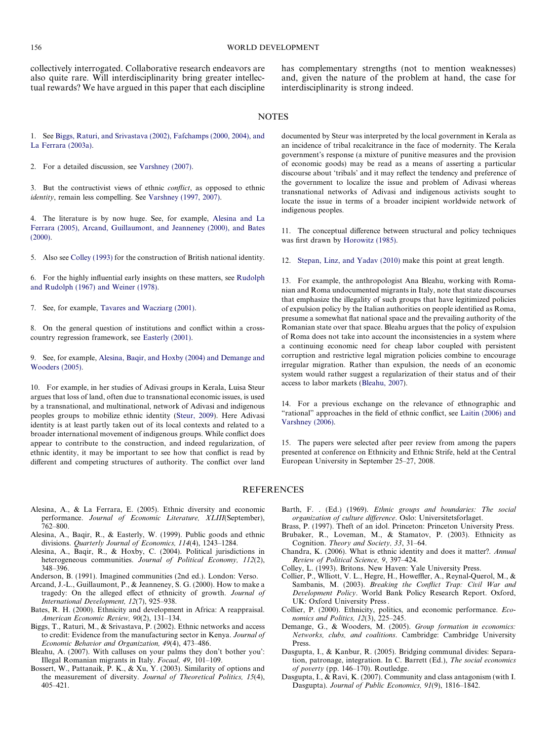<span id="page-9-0"></span>collectively interrogated. Collaborative research endeavors are also quite rare. Will interdisciplinarity bring greater intellectual rewards? We have argued in this paper that each discipline has complementary strengths (not to mention weaknesses) and, given the nature of the problem at hand, the case for interdisciplinarity is strong indeed.

# **NOTES**

1. See Biggs, Raturi, and Srivastava (2002), Fafchamps (2000, 2004), and La Ferrara (2003a).

2. For a detailed discussion, see [Varshney \(2007\)](#page-10-0).

3. But the contructivist views of ethnic conflict, as opposed to ethnic identity, remain less compelling. See [Varshney \(1997, 2007\).](#page-10-0)

4. The literature is by now huge. See, for example, Alesina and La Ferrara (2005), Arcand, Guillaumont, and Jeanneney (2000), and Bates (2000).

5. Also see Colley (1993) for the construction of British national identity.

6. For the highly influential early insights on these matters, see [Rudolph](#page-10-0) [and Rudolph \(1967\) and Weiner \(1978\)](#page-10-0).

7. See, for example, [Tavares and Wacziarg \(2001\)](#page-10-0).

8. On the general question of institutions and conflict within a crosscountry regression framework, see [Easterly \(2001\).](#page-10-0)

9. See, for example, Alesina, Baqir, and Hoxby (2004) and Demange and Wooders (2005).

10. For example, in her studies of Adivasi groups in Kerala, Luisa Steur argues that loss of land, often due to transnational economic issues, is used by a transnational, and multinational, network of Adivasi and indigenous peoples groups to mobilize ethnic identity [\(Steur, 2009\)](#page-10-0). Here Adivasi identity is at least partly taken out of its local contexts and related to a broader international movement of indigenous groups. While conflict does appear to contribute to the construction, and indeed regularization, of ethnic identity, it may be important to see how that conflict is read by different and competing structures of authority. The conflict over land documented by Steur was interpreted by the local government in Kerala as an incidence of tribal recalcitrance in the face of modernity. The Kerala government's response (a mixture of punitive measures and the provision of economic goods) may be read as a means of asserting a particular discourse about 'tribals' and it may reflect the tendency and preference of the government to localize the issue and problem of Adivasi whereas transnational networks of Adivasi and indigenous activists sought to locate the issue in terms of a broader incipient worldwide network of indigenous peoples.

11. The conceptual difference between structural and policy techniques was first drawn by [Horowitz \(1985\)](#page-10-0).

12. [Stepan, Linz, and Yadav \(2010\)](#page-10-0) make this point at great length.

13. For example, the anthropologist Ana Bleahu, working with Romanian and Roma undocumented migrants in Italy, note that state discourses that emphasize the illegality of such groups that have legitimized policies of expulsion policy by the Italian authorities on people identified as Roma, presume a somewhat flat national space and the prevailing authority of the Romanian state over that space. Bleahu argues that the policy of expulsion of Roma does not take into account the inconsistencies in a system where a continuing economic need for cheap labor coupled with persistent corruption and restrictive legal migration policies combine to encourage irregular migration. Rather than expulsion, the needs of an economic system would rather suggest a regularization of their status and of their access to labor markets (Bleahu, 2007).

14. For a previous exchange on the relevance of ethnographic and "rational" approaches in the field of ethnic conflict, see [Laitin \(2006\) and](#page-10-0) [Varshney \(2006\).](#page-10-0)

15. The papers were selected after peer review from among the papers presented at conference on Ethnicity and Ethnic Strife, held at the Central European University in September 25–27, 2008.

#### **REFERENCES**

- Alesina, A., & La Ferrara, E. (2005). Ethnic diversity and economic performance. Journal of Economic Literature, XLIII(September), 762–800.
- Alesina, A., Baqir, R., & Easterly, W. (1999). Public goods and ethnic divisions. Quarterly Journal of Economics, 114(4), 1243–1284.
- Alesina, A., Baqir, R., & Hoxby, C. (2004). Political jurisdictions in heterogeneous communities. Journal of Political Economy, 112(2), 348–396.
- Anderson, B. (1991). Imagined communities (2nd ed.). London: Verso.
- Arcand, J.-L., Guillaumont, P., & Jeanneney, S. G. (2000). How to make a tragedy: On the alleged effect of ethnicity of growth. Journal of International Development, 12(7), 925–938.
- Bates, R. H. (2000). Ethnicity and development in Africa: A reappraisal. American Economic Review, 90(2), 131–134.
- Biggs, T., Raturi, M., & Srivastava, P. (2002). Ethnic networks and access to credit: Evidence from the manufacturing sector in Kenya. Journal of Economic Behavior and Organization, 49(4), 473–486.
- Bleahu, A. (2007). With calluses on your palms they don't bother you': Illegal Romanian migrants in Italy. Focaal, 49, 101–109.
- Bossert, W., Pattanaik, P. K., & Xu, Y. (2003). Similarity of options and the measurement of diversity. Journal of Theoretical Politics, 15(4), 405–421.

Barth, F. . (Ed.) (1969). Ethnic groups and boundaries: The social organization of culture difference. Oslo: Universitetsforlaget.

- Brass, P. (1997). Theft of an idol. Princeton: Princeton University Press.
- Brubaker, R., Loveman, M., & Stamatov, P. (2003). Ethnicity as Cognition. Theory and Society, 33, 31–64.
- Chandra, K. (2006). What is ethnic identity and does it matter?. Annual Review of Political Science, 9, 397–424.
- Colley, L. (1993). Britons. New Haven: Yale University Press.
- Collier, P., Wlliott, V. L., Hegre, H., Howeffler, A., Reynal-Querol, M., & Sambanis, M. (2003). Breaking the Conflict Trap: Civil War and Development Policy. World Bank Policy Research Report. Oxford, UK: Oxford University Press .
- Collier, P. (2000). Ethnicity, politics, and economic performance. Economics and Politics, 12(3), 225-245.
- Demange, G., & Wooders, M. (2005). Group formation in economics: Networks, clubs, and coalitions. Cambridge: Cambridge University Press.
- Dasgupta, I., & Kanbur, R. (2005). Bridging communal divides: Separation, patronage, integration. In C. Barrett (Ed.), The social economics of poverty (pp. 146–170). Routledge.
- Dasgupta, I., & Ravi, K. (2007). Community and class antagonism (with I. Dasgupta). Journal of Public Economics, 91(9), 1816–1842.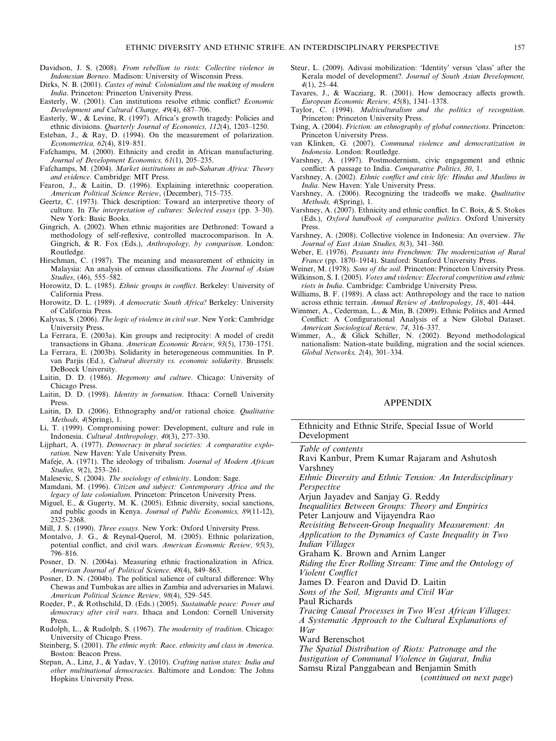- <span id="page-10-0"></span>Davidson, J. S. (2008). From rebellion to riots: Collective violence in Indonesian Borneo. Madison: University of Wisconsin Press.
- Dirks, N. B. (2001). Castes of mind: Colonialism and the making of modern India. Princeton: Princeton University Press.
- Easterly, W. (2001). Can institutions resolve ethnic conflict? Economic Development and Cultural Change, 49(4), 687–706.
- Easterly, W., & Levine, R. (1997). Africa's growth tragedy: Policies and ethnic divisions. Quarterly Journal of Economics, 112(4), 1203–1250.
- Esteban, J., & Ray, D. (1994). On the measurement of polarization. Econometrica, 62(4), 819–851.
- Fafchamps, M. (2000). Ethnicity and credit in African manufacturing. Journal of Development Economics, 61(1), 205–235.
- Fafchamps, M. (2004). Market institutions in sub-Saharan Africa: Theory and evidence. Cambridge: MIT Press.
- Fearon, J., & Laitin, D. (1996). Explaining interethnic cooperation. American Political Science Review, (December), 715–735.
- Geertz, C. (1973). Thick description: Toward an interpretive theory of culture. In The interpretation of cultures: Selected essays (pp. 3–30). New York: Basic Books.
- Gingrich, A. (2002). When ethnic majorities are Dethroned: Toward a methodology of self-reflexive, controlled macrocomparison. In A. Gingrich, & R. Fox (Eds.), Anthropology, by comparison. London: Routledge.
- Hirschman, C. (1987). The meaning and measurement of ethnicity in Malaysia: An analysis of census classifications. The Journal of Asian Studies, (46), 555–582.
- Horowitz, D. L. (1985). Ethnic groups in conflict. Berkeley: University of California Press.
- Horowitz, D. L. (1989). A democratic South Africa? Berkeley: University of California Press.
- Kalyvas, S. (2006). The logic of violence in civil war. New York: Cambridge University Press.
- La Ferrara, E. (2003a). Kin groups and reciprocity: A model of credit transactions in Ghana. American Economic Review, 93(5), 1730–1751.
- La Ferrara, E. (2003b). Solidarity in heterogeneous communities. In P. van Parjis (Ed.), Cultural diversity vs. economic solidarity. Brussels: DeBoeck University.
- Laitin, D. D. (1986). Hegemony and culture. Chicago: University of Chicago Press.
- Laitin, D. D. (1998). Identity in formation. Ithaca: Cornell University Press.
- Laitin, D. D. (2006). Ethnography and/or rational choice. Qualitative Methods, 4(Spring), 1.
- Li, T. (1999). Compromising power: Development, culture and rule in Indonesia. Cultural Anthropology, 40(3), 277–330.
- Lijphart, A. (1977). Democracy in plural societies: A comparative exploration. New Haven: Yale University Press.
- Mafeje, A. (1971). The ideology of tribalism. Journal of Modern African Studies, 9(2), 253–261.
- Malesevic, S. (2004). The sociology of ethnicity. London: Sage.
- Mamdani, M. (1996). Citizen and subject: Contemporary Africa and the legacy of late colonialism. Princeton: Princeton University Press.
- Miguel, E., & Gugerty, M. K. (2005). Ethnic diversity, social sanctions, and public goods in Kenya. Journal of Public Economics, 89(11-12), 2325–2368.
- Mill, J. S. (1990). Three essays. New York: Oxford University Press.
- Montalvo, J. G., & Reynal-Querol, M. (2005). Ethnic polarization, potential conflict, and civil wars. American Economic Review, 95(3), 796–816.
- Posner, D. N. (2004a). Measuring ethnic fractionalization in Africa. American Journal of Political Science, 48(4), 849–863.
- Posner, D. N. (2004b). The political salience of cultural difference: Why Chewas and Tumbukas are allies in Zambia and adversaries in Malawi. American Political Science Review, 98(4), 529–545.
- Roeder, P., & Rothschild, D. (Eds.) (2005). Sustainable peace: Power and democracy after civil wars. Ithaca and London: Cornell University Press.
- Rudolph, L., & Rudolph, S. (1967). The modernity of tradition. Chicago: University of Chicago Press.
- Steinberg, S. (2001). The ethnic myth: Race, ethnicity and class in America. Boston: Beacon Press.
- Stepan, A., Linz, J., & Yadav, Y. (2010). Crafting nation states: India and other multinational democracies. Baltimore and London: The Johns Hopkins University Press.
- Steur, L. (2009). Adivasi mobilization: 'Identity' versus 'class' after the Kerala model of development?. Journal of South Asian Development,  $4(1)$ , 25–44.
- Tavares, J., & Wacziarg, R. (2001). How democracy affects growth. European Economic Review, 45(8), 1341–1378.
- Taylor, C. (1994). Multiculturalism and the politics of recognition. Princeton: Princeton University Press.
- Tsing, A. (2004). Friction: an ethnography of global connections. Princeton: Princeton University Press.
- van Klinken, G. (2007). Communal violence and democratization in Indonesia. London: Routledge.
- Varshney, A. (1997). Postmodernism, civic engagement and ethnic conflict: A passage to India. Comparative Politics, 30, 1.
- Varshney, A. (2002). Ethnic conflict and civic life: Hindus and Muslims in India. New Haven: Yale University Press.
- Varshney, A. (2006). Recognizing the tradeoffs we make. Qualitative Methods, 4(Spring), 1.
- Varshney, A.  $(2007)$ . Ethnicity and ethnic conflict. In C. Boix, & S. Stokes (Eds.), Oxford handbook of comparative politics. Oxford University Press.
- Varshney, A. (2008). Collective violence in Indonesia: An overview. The Journal of East Asian Studies, 8(3), 341–360.
- Weber, E. (1976). Peasants into Frenchmen: The modernization of Rural France (pp. 1870–1914). Stanford: Stanford University Press.
- Weiner, M. (1978). Sons of the soil. Princeton: Princeton University Press.
- Wilkinson, S. I. (2005). Votes and violence: Electoral competition and ethnic riots in India. Cambridge: Cambridge University Press.
- Williams, B. F. (1989). A class act: Anthropology and the race to nation across ethnic terrain. Annual Review of Anthropology, 18, 401–444.
- Wimmer, A., Cederman, L., & Min, B. (2009). Ethnic Politics and Armed Conflict: A Configurational Analysis of a New Global Dataset. American Sociological Review, 74, 316–337.
- Wimmer, A., & Glick Schiller, N. (2002). Beyond methodological nationalism: Nation-state building, migration and the social sciences. Global Networks, 2(4), 301–334.

# APPENDIX

Ethnicity and Ethnic Strife, Special Issue of World Development

Table of contents

Ravi Kanbur, Prem Kumar Rajaram and Ashutosh Varshney

Ethnic Diversity and Ethnic Tension: An Interdisciplinary Perspective

Arjun Jayadev and Sanjay G. Reddy

Inequalities Between Groups: Theory and Empirics Peter Lanjouw and Vijayendra Rao

Revisiting Between-Group Inequality Measurement: An Application to the Dynamics of Caste Inequality in Two Indian Villages

Graham K. Brown and Arnim Langer

Riding the Ever Rolling Stream: Time and the Ontology of Violent Conflict

James D. Fearon and David D. Laitin

Sons of the Soil, Migrants and Civil War

Paul Richards

Tracing Causal Processes in Two West African Villages: A Systematic Approach to the Cultural Explanations of War

Ward Berenschot

The Spatial Distribution of Riots: Patronage and the Instigation of Communal Violence in Gujarat, India Samsu Rizal Panggabean and Benjamin Smith

(continued on next page)